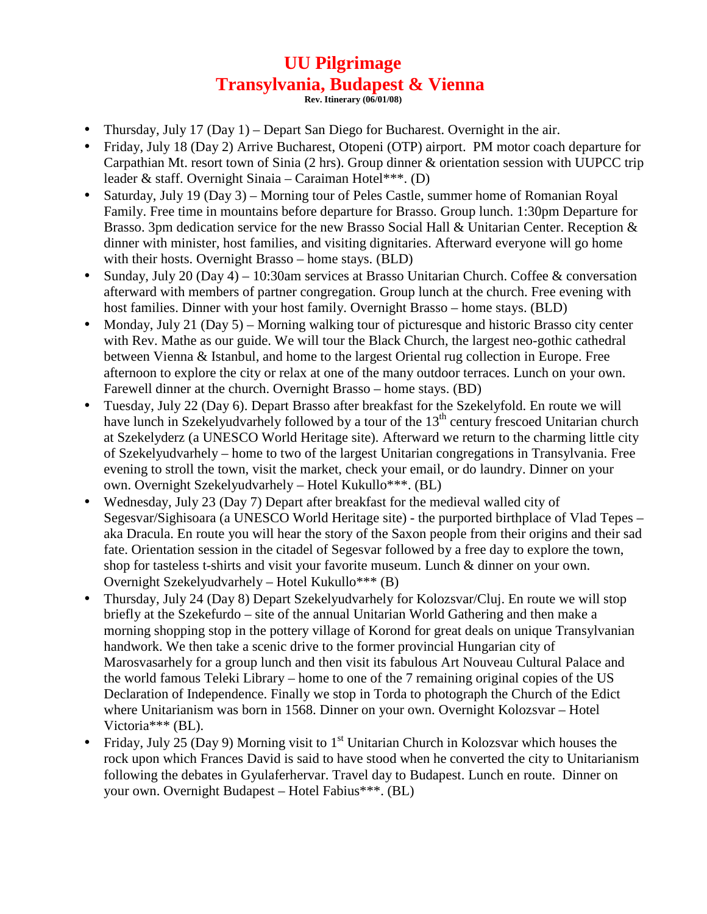## **UU Pilgrimage Transylvania, Budapest & Vienna**

**Rev. Itinerary (06/01/08)** 

- Thursday, July 17 (Day 1) Depart San Diego for Bucharest. Overnight in the air.
- Friday, July 18 (Day 2) Arrive Bucharest, Otopeni (OTP) airport. PM motor coach departure for Carpathian Mt. resort town of Sinia (2 hrs). Group dinner & orientation session with UUPCC trip leader & staff. Overnight Sinaia – Caraiman Hotel\*\*\*. (D)
- Saturday, July 19 (Day 3) Morning tour of Peles Castle, summer home of Romanian Royal Family. Free time in mountains before departure for Brasso. Group lunch. 1:30pm Departure for Brasso. 3pm dedication service for the new Brasso Social Hall & Unitarian Center. Reception & dinner with minister, host families, and visiting dignitaries. Afterward everyone will go home with their hosts. Overnight Brasso – home stays. (BLD)
- Sunday, July 20 (Day 4) 10:30am services at Brasso Unitarian Church. Coffee & conversation afterward with members of partner congregation. Group lunch at the church. Free evening with host families. Dinner with your host family. Overnight Brasso – home stays. (BLD)
- Monday, July 21 (Day 5) Morning walking tour of picturesque and historic Brasso city center with Rev. Mathe as our guide. We will tour the Black Church, the largest neo-gothic cathedral between Vienna & Istanbul, and home to the largest Oriental rug collection in Europe. Free afternoon to explore the city or relax at one of the many outdoor terraces. Lunch on your own. Farewell dinner at the church. Overnight Brasso – home stays. (BD)
- Tuesday, July 22 (Day 6). Depart Brasso after breakfast for the Szekelyfold. En route we will have lunch in Szekelyudvarhely followed by a tour of the 13<sup>th</sup> century frescoed Unitarian church at Szekelyderz (a UNESCO World Heritage site). Afterward we return to the charming little city of Szekelyudvarhely – home to two of the largest Unitarian congregations in Transylvania. Free evening to stroll the town, visit the market, check your email, or do laundry. Dinner on your own. Overnight Szekelyudvarhely – Hotel Kukullo\*\*\*. (BL)
- Wednesday, July 23 (Day 7) Depart after breakfast for the medieval walled city of Segesvar/Sighisoara (a UNESCO World Heritage site) - the purported birthplace of Vlad Tepes – aka Dracula. En route you will hear the story of the Saxon people from their origins and their sad fate. Orientation session in the citadel of Segesvar followed by a free day to explore the town, shop for tasteless t-shirts and visit your favorite museum. Lunch & dinner on your own. Overnight Szekelyudvarhely – Hotel Kukullo\*\*\* (B)
- Thursday, July 24 (Day 8) Depart Szekelyudvarhely for Kolozsvar/Cluj. En route we will stop briefly at the Szekefurdo – site of the annual Unitarian World Gathering and then make a morning shopping stop in the pottery village of Korond for great deals on unique Transylvanian handwork. We then take a scenic drive to the former provincial Hungarian city of Marosvasarhely for a group lunch and then visit its fabulous Art Nouveau Cultural Palace and the world famous Teleki Library – home to one of the 7 remaining original copies of the US Declaration of Independence. Finally we stop in Torda to photograph the Church of the Edict where Unitarianism was born in 1568. Dinner on your own. Overnight Kolozsvar – Hotel Victoria\*\*\* (BL).
- Friday, July 25 (Day 9) Morning visit to  $1<sup>st</sup>$  Unitarian Church in Kolozsvar which houses the rock upon which Frances David is said to have stood when he converted the city to Unitarianism following the debates in Gyulaferhervar. Travel day to Budapest. Lunch en route. Dinner on your own. Overnight Budapest – Hotel Fabius\*\*\*. (BL)